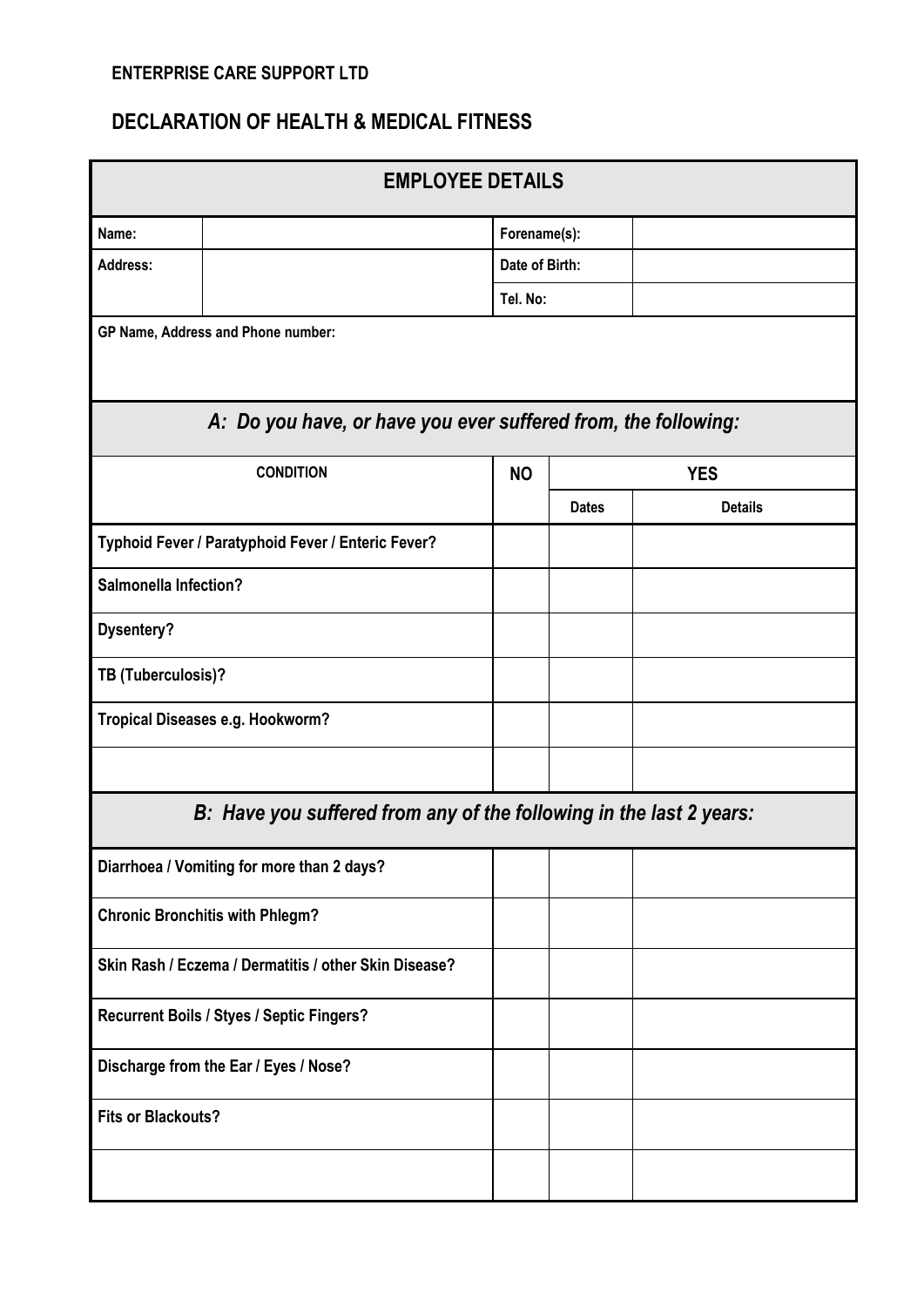## **ENTERPRISE CARE SUPPORT LTD**

## **DECLARATION OF HEALTH & MEDICAL FITNESS**

| <b>EMPLOYEE DETAILS</b>                                        |                                                                     |                |                |  |  |
|----------------------------------------------------------------|---------------------------------------------------------------------|----------------|----------------|--|--|
| Name:                                                          |                                                                     | Forename(s):   |                |  |  |
| Address:                                                       |                                                                     | Date of Birth: |                |  |  |
|                                                                |                                                                     | Tel. No:       |                |  |  |
|                                                                | GP Name, Address and Phone number:                                  |                |                |  |  |
| A: Do you have, or have you ever suffered from, the following: |                                                                     |                |                |  |  |
|                                                                | <b>CONDITION</b>                                                    | <b>NO</b>      | <b>YES</b>     |  |  |
|                                                                |                                                                     | <b>Dates</b>   | <b>Details</b> |  |  |
| Typhoid Fever / Paratyphoid Fever / Enteric Fever?             |                                                                     |                |                |  |  |
| <b>Salmonella Infection?</b>                                   |                                                                     |                |                |  |  |
| <b>Dysentery?</b>                                              |                                                                     |                |                |  |  |
| TB (Tuberculosis)?                                             |                                                                     |                |                |  |  |
| Tropical Diseases e.g. Hookworm?                               |                                                                     |                |                |  |  |
|                                                                |                                                                     |                |                |  |  |
|                                                                | B: Have you suffered from any of the following in the last 2 years: |                |                |  |  |
|                                                                | Diarrhoea / Vomiting for more than 2 days?                          |                |                |  |  |
| <b>Chronic Bronchitis with Phlegm?</b>                         |                                                                     |                |                |  |  |
| Skin Rash / Eczema / Dermatitis / other Skin Disease?          |                                                                     |                |                |  |  |
| Recurrent Boils / Styes / Septic Fingers?                      |                                                                     |                |                |  |  |
| Discharge from the Ear / Eyes / Nose?                          |                                                                     |                |                |  |  |
| <b>Fits or Blackouts?</b>                                      |                                                                     |                |                |  |  |
|                                                                |                                                                     |                |                |  |  |
|                                                                |                                                                     |                |                |  |  |